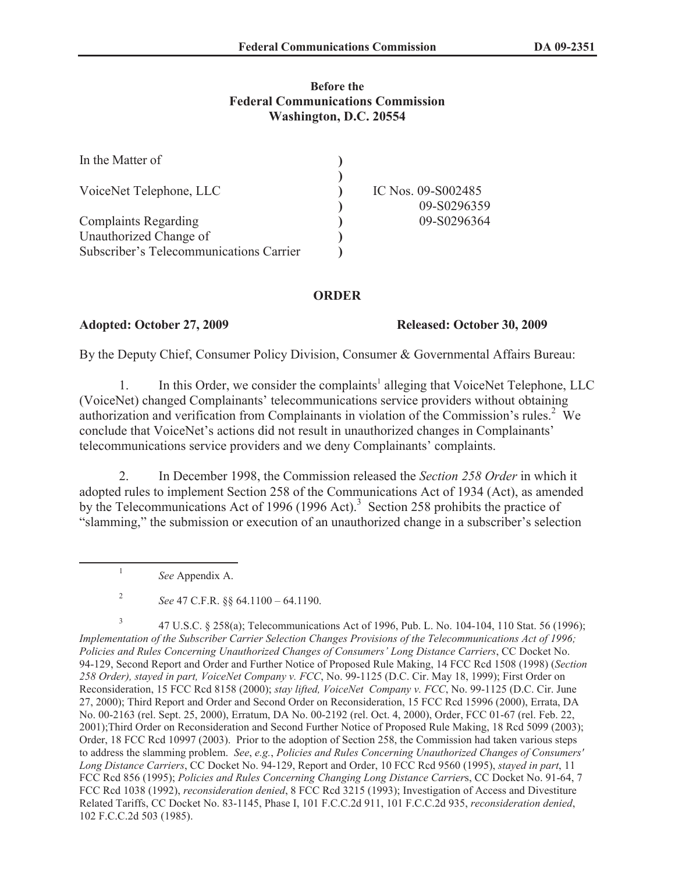#### **Before the Federal Communications Commission Washington, D.C. 20554**

| In the Matter of                        |                    |
|-----------------------------------------|--------------------|
| VoiceNet Telephone, LLC                 | IC Nos. 09-S002485 |
|                                         | 09-S0296359        |
| <b>Complaints Regarding</b>             | 09-S0296364        |
| Unauthorized Change of                  |                    |
| Subscriber's Telecommunications Carrier |                    |

### **ORDER**

#### **Adopted: October 27, 2009 Released: October 30, 2009**

By the Deputy Chief, Consumer Policy Division, Consumer & Governmental Affairs Bureau:

1. In this Order, we consider the complaints<sup>1</sup> alleging that VoiceNet Telephone, LLC (VoiceNet) changed Complainants' telecommunications service providers without obtaining authorization and verification from Complainants in violation of the Commission's rules.<sup>2</sup> We conclude that VoiceNet's actions did not result in unauthorized changes in Complainants' telecommunications service providers and we deny Complainants' complaints.

2. In December 1998, the Commission released the *Section 258 Order* in which it adopted rules to implement Section 258 of the Communications Act of 1934 (Act), as amended by the Telecommunications Act of 1996 (1996 Act).<sup>3</sup> Section 258 prohibits the practice of "slamming," the submission or execution of an unauthorized change in a subscriber's selection

*See* Appendix A.

1

3 47 U.S.C. § 258(a); Telecommunications Act of 1996, Pub. L. No. 104-104, 110 Stat. 56 (1996); *Implementation of the Subscriber Carrier Selection Changes Provisions of the Telecommunications Act of 1996; Policies and Rules Concerning Unauthorized Changes of Consumers' Long Distance Carriers*, CC Docket No. 94-129, Second Report and Order and Further Notice of Proposed Rule Making, 14 FCC Rcd 1508 (1998) (*Section 258 Order), stayed in part, VoiceNet Company v. FCC*, No. 99-1125 (D.C. Cir. May 18, 1999); First Order on Reconsideration, 15 FCC Rcd 8158 (2000); *stay lifted, VoiceNet Company v. FCC*, No. 99-1125 (D.C. Cir. June 27, 2000); Third Report and Order and Second Order on Reconsideration, 15 FCC Rcd 15996 (2000), Errata, DA No. 00-2163 (rel. Sept. 25, 2000), Erratum, DA No. 00-2192 (rel. Oct. 4, 2000), Order, FCC 01-67 (rel. Feb. 22, 2001);Third Order on Reconsideration and Second Further Notice of Proposed Rule Making, 18 Rcd 5099 (2003); Order, 18 FCC Rcd 10997 (2003). Prior to the adoption of Section 258, the Commission had taken various steps to address the slamming problem. *See*, *e.g.*, *Policies and Rules Concerning Unauthorized Changes of Consumers' Long Distance Carriers*, CC Docket No. 94-129, Report and Order, 10 FCC Rcd 9560 (1995), *stayed in part*, 11 FCC Rcd 856 (1995); *Policies and Rules Concerning Changing Long Distance Carrier*s, CC Docket No. 91-64, 7 FCC Rcd 1038 (1992), *reconsideration denied*, 8 FCC Rcd 3215 (1993); Investigation of Access and Divestiture Related Tariffs, CC Docket No. 83-1145, Phase I, 101 F.C.C.2d 911, 101 F.C.C.2d 935, *reconsideration denied*, 102 F.C.C.2d 503 (1985).

<sup>2</sup> *See* 47 C.F.R. §§ 64.1100 – 64.1190.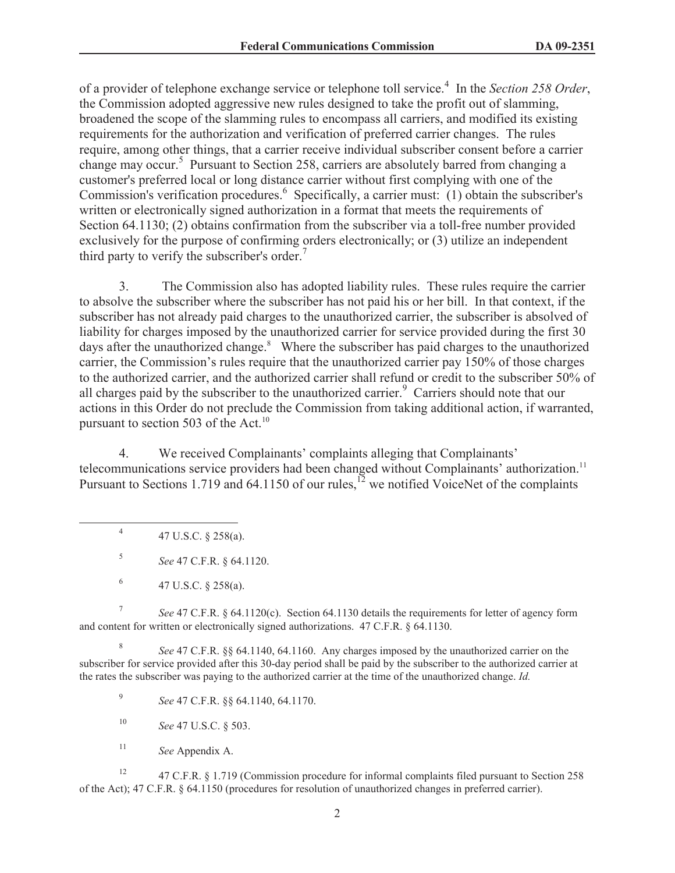of a provider of telephone exchange service or telephone toll service.<sup>4</sup> In the *Section 258 Order*, the Commission adopted aggressive new rules designed to take the profit out of slamming, broadened the scope of the slamming rules to encompass all carriers, and modified its existing requirements for the authorization and verification of preferred carrier changes. The rules require, among other things, that a carrier receive individual subscriber consent before a carrier change may occur.<sup>5</sup> Pursuant to Section 258, carriers are absolutely barred from changing a customer's preferred local or long distance carrier without first complying with one of the Commission's verification procedures.<sup>6</sup> Specifically, a carrier must: (1) obtain the subscriber's written or electronically signed authorization in a format that meets the requirements of Section 64.1130; (2) obtains confirmation from the subscriber via a toll-free number provided exclusively for the purpose of confirming orders electronically; or (3) utilize an independent third party to verify the subscriber's order.<sup>7</sup>

3. The Commission also has adopted liability rules. These rules require the carrier to absolve the subscriber where the subscriber has not paid his or her bill. In that context, if the subscriber has not already paid charges to the unauthorized carrier, the subscriber is absolved of liability for charges imposed by the unauthorized carrier for service provided during the first 30 days after the unauthorized change.<sup>8</sup> Where the subscriber has paid charges to the unauthorized carrier, the Commission's rules require that the unauthorized carrier pay 150% of those charges to the authorized carrier, and the authorized carrier shall refund or credit to the subscriber 50% of all charges paid by the subscriber to the unauthorized carrier.<sup>9</sup> Carriers should note that our actions in this Order do not preclude the Commission from taking additional action, if warranted, pursuant to section 503 of the Act.<sup>10</sup>

4. We received Complainants' complaints alleging that Complainants' telecommunications service providers had been changed without Complainants' authorization.<sup>11</sup> Pursuant to Sections 1.719 and 64.1150 of our rules,<sup>12</sup> we notified VoiceNet of the complaints

4 47 U.S.C. § 258(a).

5 *See* 47 C.F.R. § 64.1120.

6 47 U.S.C. § 258(a).

7 *See* 47 C.F.R. § 64.1120(c). Section 64.1130 details the requirements for letter of agency form and content for written or electronically signed authorizations. 47 C.F.R. § 64.1130.

8 *See* 47 C.F.R. §§ 64.1140, 64.1160. Any charges imposed by the unauthorized carrier on the subscriber for service provided after this 30-day period shall be paid by the subscriber to the authorized carrier at the rates the subscriber was paying to the authorized carrier at the time of the unauthorized change. *Id.*

9 *See* 47 C.F.R. §§ 64.1140, 64.1170.

<sup>10</sup> *See* 47 U.S.C. § 503.

<sup>11</sup> *See* Appendix A.

<sup>12</sup> 47 C.F.R. § 1.719 (Commission procedure for informal complaints filed pursuant to Section 258 of the Act); 47 C.F.R. § 64.1150 (procedures for resolution of unauthorized changes in preferred carrier).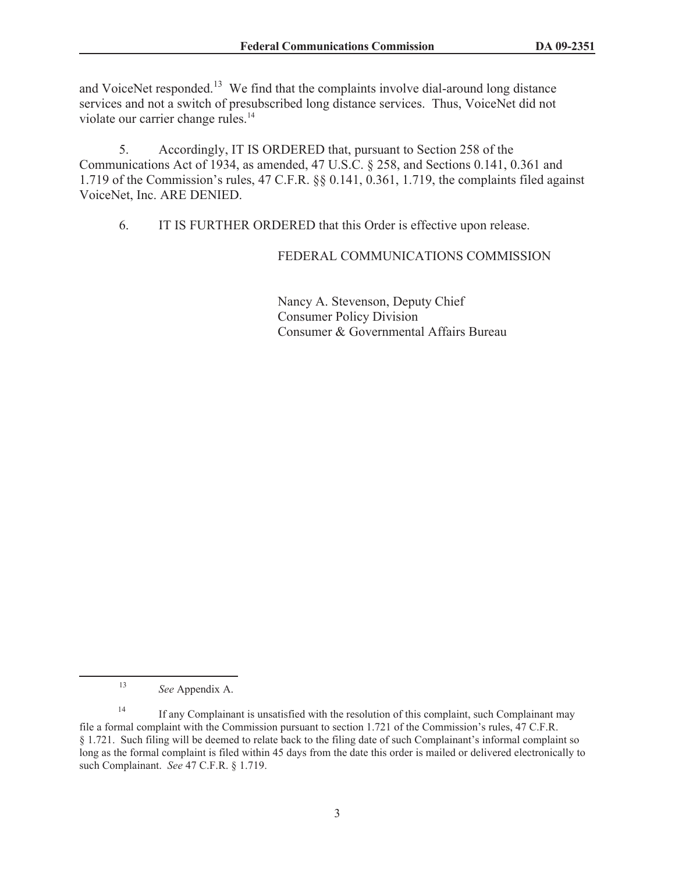and VoiceNet responded.<sup>13</sup> We find that the complaints involve dial-around long distance services and not a switch of presubscribed long distance services. Thus, VoiceNet did not violate our carrier change rules.<sup>14</sup>

5. Accordingly, IT IS ORDERED that, pursuant to Section 258 of the Communications Act of 1934, as amended, 47 U.S.C. § 258, and Sections 0.141, 0.361 and 1.719 of the Commission's rules, 47 C.F.R. §§ 0.141, 0.361, 1.719, the complaints filed against VoiceNet, Inc. ARE DENIED.

6. IT IS FURTHER ORDERED that this Order is effective upon release.

## FEDERAL COMMUNICATIONS COMMISSION

Nancy A. Stevenson, Deputy Chief Consumer Policy Division Consumer & Governmental Affairs Bureau

<sup>13</sup> *See* Appendix A.

<sup>&</sup>lt;sup>14</sup> If any Complainant is unsatisfied with the resolution of this complaint, such Complainant may file a formal complaint with the Commission pursuant to section 1.721 of the Commission's rules, 47 C.F.R. § 1.721. Such filing will be deemed to relate back to the filing date of such Complainant's informal complaint so long as the formal complaint is filed within 45 days from the date this order is mailed or delivered electronically to such Complainant. *See* 47 C.F.R. § 1.719.